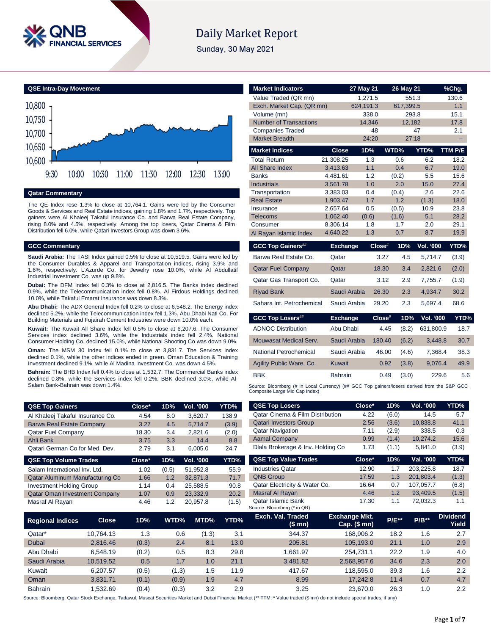

# **Daily Market Report**

Sunday, 30 May 2021

**QSE Intra-Day Movement** 10,600 10,650 10,700 10,750 10,800 9:30 10:00 10:30 11:00 11:30 12:00 12:30 13:00

## **Qatar Commentary**

The QE Index rose 1.3% to close at 10,764.1. Gains were led by the Consumer Goods & Services and Real Estate indices, gaining 1.8% and 1.7%, respectively. Top gainers were Al Khaleej Takaful Insurance Co. and Barwa Real Estate Company, rising 8.0% and 4.5%, respectively. Among the top losers, Qatar Cinema & Film Distribution fell 6.0%, while Qatari Investors Group was down 3.6%.

#### **GCC Commentary**

**Saudi Arabia:** The TASI Index gained 0.5% to close at 10,519.5. Gains were led by the Consumer Durables & Apparel and Transportation indices, rising 3.9% and 1.6%, respectively. L'Azurde Co. for Jewelry rose 10.0%, while Al Abdullatif Industrial Investment Co. was up 9.8%.

**Dubai:** The DFM Index fell 0.3% to close at 2,816.5. The Banks index declined 0.9%, while the Telecommunication index fell 0.8%. Al Firdous Holdings declined 10.0%, while Takaful Emarat Insurance was down 8.3%.

**Abu Dhabi:** The ADX General Index fell 0.2% to close at 6,548.2. The Energy index declined 5.2%, while the Telecommunication index fell 1.3%. Abu Dhabi Natl Co. For Building Materials and Fujairah Cement Industries were down 10.0% each.

**Kuwait:** The Kuwait All Share Index fell 0.5% to close at 6,207.6. The Consumer Services index declined 3.6%, while the Industrials index fell 2.4%. National Consumer Holding Co. declined 15.0%, while National Shooting Co was down 9.0%.

**Oman:** The MSM 30 Index fell 0.1% to close at 3,831.7. The Services index declined 0.1%, while the other indices ended in green. Oman Education & Training Investment declined 9.1%, while Al Madina Investment Co. was down 4.5%.

**Bahrain:** The BHB Index fell 0.4% to close at 1,532.7. The Commercial Banks index declined 0.8%, while the Services index fell 0.2%. BBK declined 3.0%, while Al-Salam Bank-Bahrain was down 1.4%.

| <b>QSE Top Gainers</b>                 | Close* | 1D%   | Vol. '000. | YTD%  |
|----------------------------------------|--------|-------|------------|-------|
| Al Khaleej Takaful Insurance Co.       | 4.54   | 8.0   | 3.620.7    | 138.9 |
| <b>Barwa Real Estate Company</b>       | 3.27   | 4.5   | 5.714.7    | (3.9) |
| <b>Qatar Fuel Company</b>              | 18.30  | 3.4   | 2,821.6    | (2.0) |
| Ahli Bank                              | 3.75   | 3.3   | 14.4       | 8.8   |
| Qatari German Co for Med. Dev.         | 2.79   | 3.1   | 6,005.0    | 24.7  |
| <b>QSE Top Volume Trades</b>           | Close* | 1D%   | Vol. '000  | YTD%  |
| Salam International Inv. Ltd.          | 1.02   | (0.5) | 51.952.8   | 55.9  |
| <b>Qatar Aluminum Manufacturing Co</b> | 1.66   | 1.2   | 32,871.3   | 71.7  |
| <b>Investment Holding Group</b>        | 1.14   | 0.4   | 25.588.5   | 90.8  |

| <b>Market Indicators</b>                                                                                                      |                      | 27 May 21  |        | 26 May 21  |                  | %Chg.        |  |  |
|-------------------------------------------------------------------------------------------------------------------------------|----------------------|------------|--------|------------|------------------|--------------|--|--|
| Value Traded (QR mn)                                                                                                          |                      | 1,271.5    |        | 551.3      |                  | 130.6        |  |  |
| Exch. Market Cap. (QR mn)                                                                                                     |                      | 624,191.3  |        | 617,399.5  |                  | 1.1          |  |  |
| Volume (mn)                                                                                                                   |                      |            | 338.0  | 293.8      |                  | 15.1         |  |  |
| <b>Number of Transactions</b>                                                                                                 |                      | 14,346     |        | 12,182     |                  | 17.8         |  |  |
| <b>Companies Traded</b>                                                                                                       |                      |            | 48     |            | 47               | 2.1          |  |  |
| <b>Market Breadth</b>                                                                                                         |                      | 24:20      |        | 27:18      |                  |              |  |  |
| <b>Market Indices</b>                                                                                                         | <b>Close</b>         | 1D%        |        | WTD%       | YTD%             | TTM P/E      |  |  |
| <b>Total Return</b>                                                                                                           | 21,308.25            | 1.3        |        | 0.6        | 6.2              | 18.2         |  |  |
| All Share Index                                                                                                               | 3,413.63             | 1.1        |        | 0.4        | 6.7              | 19.0         |  |  |
| <b>Banks</b>                                                                                                                  | 4,481.61             | 1.2        |        | (0.2)      | 5.5              | 15.6         |  |  |
| <b>Industrials</b>                                                                                                            | 3,561.78             | 1.0        |        | 2.0        | 15.0             | 27.4         |  |  |
| Transportation                                                                                                                | 3,383.03             | 0.4        |        | (0.4)      | 2.6              | 22.6         |  |  |
| <b>Real Estate</b>                                                                                                            | 1,903.47             | 1.7        |        | 1.2        | (1.3)            | 18.0         |  |  |
| Insurance                                                                                                                     | 2.657.64             | 0.5        |        | (0.5)      | 10.9             | 23.8         |  |  |
| <b>Telecoms</b>                                                                                                               | 1,062.40             | (0.6)      |        | (1.6)      | 5.1              | 28.2         |  |  |
| Consumer                                                                                                                      | 8,306.14<br>4,640.22 | 1.8<br>1.3 |        | 1.7<br>0.7 | 2.0<br>8.7       | 29.1<br>19.9 |  |  |
| Al Rayan Islamic Index                                                                                                        |                      |            |        |            |                  |              |  |  |
| <b>GCC Top Gainers##</b>                                                                                                      | <b>Exchange</b>      |            | Close# | 1D%        | Vol. '000        | YTD%         |  |  |
| Barwa Real Estate Co.                                                                                                         | Qatar                |            | 3.27   | 4.5        | 5,714.7          | (3.9)        |  |  |
| <b>Qatar Fuel Company</b>                                                                                                     | Qatar                |            | 18.30  | 3.4        | 2,821.6          | (2.0)        |  |  |
| Qatar Gas Transport Co.                                                                                                       | Qatar                |            | 3.12   | 2.9        | 7,755.7          | (1.9)        |  |  |
| <b>Riyad Bank</b>                                                                                                             | Saudi Arabia         |            | 26.30  | 2.3        | 4,934.7          | 30.2         |  |  |
| Sahara Int. Petrochemical                                                                                                     | Saudi Arabia         |            | 29.20  | 2.3        | 5,697.4          | 68.6         |  |  |
| <b>GCC Top Losers##</b>                                                                                                       | <b>Exchange</b>      |            | Close# | 1D%        | <b>Vol. '000</b> | YTD%         |  |  |
| <b>ADNOC Distribution</b>                                                                                                     | Abu Dhabi            |            | 4.45   | (8.2)      | 631,800.9        | 18.7         |  |  |
| Mouwasat Medical Serv.                                                                                                        | Saudi Arabia         |            | 180.40 | (6.2)      | 3,448.8          | 30.7         |  |  |
| National Petrochemical                                                                                                        | Saudi Arabia         |            | 46.00  | (4.6)      | 7,368.4          | 38.3         |  |  |
| Agility Public Ware. Co.                                                                                                      | <b>Kuwait</b>        |            | 0.92   | (3.8)      | 9,076.4          | 49.9         |  |  |
| <b>BBK</b>                                                                                                                    | <b>Bahrain</b>       |            | 0.49   | (3.0)      | 229.6            | 5.6          |  |  |
| Source: Bloomberg (# in Local Currency) (## GCC Top gainers/losers derived from the S&P GCC<br>Composite Large Mid Cap Index) |                      |            |        |            |                  |              |  |  |
| <b>QSE Top Losers</b>                                                                                                         |                      | Close*     |        | 1D%        | Vol. '000        | YTD%         |  |  |

| Al Khaleej Takaful Insurance Co.     |              | 4.54   | 8.0   | 3,620.7   | 138.9 | <b>Qatar Cinema &amp; Film Distribution</b>              | 4.22                                 | (6.0)   | 14.5      | 5.7                      |
|--------------------------------------|--------------|--------|-------|-----------|-------|----------------------------------------------------------|--------------------------------------|---------|-----------|--------------------------|
| <b>Barwa Real Estate Company</b>     |              | 3.27   | 4.5   | 5,714.7   | (3.9) | <b>Qatari Investors Group</b>                            | 2.56                                 | (3.6)   | 10,838.8  | 41.1                     |
| <b>Qatar Fuel Company</b>            |              | 18.30  | 3.4   | 2,821.6   | (2.0) | <b>Qatar Navigation</b>                                  | 7.11                                 | (2.9)   | 338.5     | 0.3                      |
| Ahli Bank                            |              | 3.75   | 3.3   | 14.4      | 8.8   | <b>Aamal Company</b>                                     | 0.99                                 | (1.4)   | 10,274.2  | 15.6                     |
| Qatari German Co for Med. Dev.       |              | 2.79   | 3.1   | 6,005.0   | 24.7  | Dlala Brokerage & Inv. Holding Co.                       | 1.73                                 | (1.1)   | 5,841.0   | (3.9)                    |
| <b>QSE Top Volume Trades</b>         |              | Close* | 1D%   | Vol. '000 | YTD%  | <b>QSE Top Value Trades</b>                              | Close*                               | 1D%     | Val. '000 | YTD%                     |
| Salam International Inv. Ltd.        |              | 1.02   | (0.5) | 51,952.8  | 55.9  | <b>Industries Qatar</b>                                  | 12.90                                | 1.7     | 203,225.8 | 18.7                     |
| Qatar Aluminum Manufacturing Co      |              | 1.66   | 1.2   | 32,871.3  | 71.7  | <b>QNB Group</b>                                         | 17.59                                | 1.3     | 201,803.4 | (1.3)                    |
| <b>Investment Holding Group</b>      |              | 1.14   | 0.4   | 25,588.5  | 90.8  | Qatar Electricity & Water Co.                            | 16.64                                | 0.7     | 107,057.7 | (6.8)                    |
| <b>Qatar Oman Investment Company</b> |              | 1.07   | 0.9   | 23,332.9  | 20.2  | Masraf Al Rayan                                          | 4.46                                 | 1.2     | 93,409.5  | (1.5)                    |
| Masraf Al Rayan                      |              | 4.46   | 1.2   | 20,957.8  | (1.5) | <b>Qatar Islamic Bank</b><br>Source: Bloomberg (* in QR) | 17.30                                | 1.1     | 72,032.3  | 1.1                      |
| <b>Regional Indices</b>              | <b>Close</b> | 1D%    | WTD%  | MTD%      | YTD%  | Exch. Val. Traded<br>(\$mn)                              | <b>Exchange Mkt.</b><br>Cap. $($mn)$ | $P/E**$ | $P/B**$   | <b>Dividend</b><br>Yield |
| Qatar*                               | 10,764.13    | 1.3    | 0.6   | (1.3)     | 3.1   | 344.37                                                   | 168,906.2                            | 18.2    | 1.6       | 2.7                      |
| Dubai                                | 2,816.46     | (0.3)  | 2.4   | 8.1       | 13.0  | 205.81                                                   | 105,193.0                            | 21.1    | 1.0       | 2.9                      |
| Abu Dhabi                            | 6,548.19     | (0.2)  | 0.5   | 8.3       | 29.8  | 1,661.97                                                 | 254,731.1                            | 22.2    | 1.9       | 4.0                      |
| Saudi Arabia                         | 10,519.52    | 0.5    | 1.7   | 1.0       | 21.1  | 3,481.82                                                 | 2,568,957.6                          | 34.6    | 2.3       | 2.0                      |
| Kuwait                               | 6,207.57     | (0.5)  | (1.3) | 1.5       | 11.9  | 417.67                                                   | 118,595.0                            | 39.3    | 1.6       | 2.2                      |
| Oman                                 | 3,831.71     | (0.1)  | (0.9) | 1.9       | 4.7   | 8.99                                                     | 17,242.8                             | 11.4    | 0.7       | 4.7                      |
| Bahrain                              | 1,532.69     | (0.4)  | (0.3) | 3.2       | 2.9   | 3.25                                                     | 23,670.0                             | 26.3    | 1.0       | 2.2                      |
|                                      |              |        |       |           |       |                                                          |                                      |         |           |                          |

Source: Bloomberg, Qatar Stock Exchange, Tadawul, Muscat Securities Market and Dubai Financial Market (\*\* TTM; \* Value traded (\$ mn) do not include special trades, if any)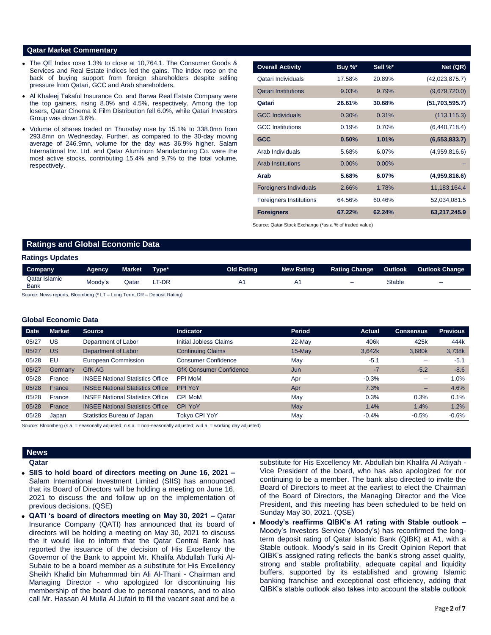### **Qatar Market Commentary**

- The QE Index rose 1.3% to close at 10,764.1. The Consumer Goods & Services and Real Estate indices led the gains. The index rose on the back of buying support from foreign shareholders despite selling pressure from Qatari, GCC and Arab shareholders.
- Al Khaleej Takaful Insurance Co. and Barwa Real Estate Company were the top gainers, rising 8.0% and 4.5%, respectively. Among the top losers, Qatar Cinema & Film Distribution fell 6.0%, while Qatari Investors Group was down 3.6%.
- Volume of shares traded on Thursday rose by 15.1% to 338.0mn from 293.8mn on Wednesday. Further, as compared to the 30-day moving average of 246.9mn, volume for the day was 36.9% higher. Salam International Inv. Ltd. and Qatar Aluminum Manufacturing Co. were the most active stocks, contributing 15.4% and 9.7% to the total volume, respectively.

| <b>Overall Activity</b>        | Buy %*   | Sell %*  | Net (QR)        |
|--------------------------------|----------|----------|-----------------|
| Qatari Individuals             | 17.58%   | 20.89%   | (42,023,875.7)  |
| <b>Qatari Institutions</b>     | 9.03%    | 9.79%    | (9,679,720.0)   |
| Qatari                         | 26.61%   | 30.68%   | (51,703,595.7)  |
| <b>GCC Individuals</b>         | 0.30%    | 0.31%    | (113, 115.3)    |
| <b>GCC</b> Institutions        | 0.19%    | 0.70%    | (6,440,718.4)   |
| <b>GCC</b>                     | 0.50%    | 1.01%    | (6, 553, 833.7) |
| Arab Individuals               | 5.68%    | 6.07%    | (4,959,816.6)   |
| <b>Arab Institutions</b>       | $0.00\%$ | $0.00\%$ |                 |
| Arab                           | 5.68%    | 6.07%    | (4,959,816.6)   |
| <b>Foreigners Individuals</b>  | 2.66%    | 1.78%    | 11,183,164.4    |
| <b>Foreigners Institutions</b> | 64.56%   | 60.46%   | 52,034,081.5    |
| <b>Foreigners</b>              | 67.22%   | 62.24%   | 63,217,245.9    |

Source: Qatar Stock Exchange (\*as a % of traded value)

# **Ratings and Global Economic Data**

#### **Ratings Updates**

| Company                      | Agency  | Market | $T$ vpe $*$ | Old Rating | <b>New Rating</b> | <b>Rating Change</b> | <b>Outlook</b> | <b>Outlook Change</b>    |
|------------------------------|---------|--------|-------------|------------|-------------------|----------------------|----------------|--------------------------|
| Qatar Islamic<br><b>Bank</b> | Moody's | Qataı  | T-DR        |            | A۱                | -                    | Stable         | $\overline{\phantom{0}}$ |

Source: News reports, Bloomberg (\* LT – Long Term, DR – Deposit Rating)

#### **Global Economic Data**

| <b>Date</b> | <b>Market</b> | Source                                  | <b>Indicator</b>               | Period    | <b>Actual</b> | <b>Consensus</b>         | <b>Previous</b> |
|-------------|---------------|-----------------------------------------|--------------------------------|-----------|---------------|--------------------------|-----------------|
| 05/27       | US            | Department of Labor                     | <b>Initial Jobless Claims</b>  | $22-May$  | 406k          | 425k                     | 444k            |
| 05/27       | US            | Department of Labor                     | <b>Continuing Claims</b>       | $15$ -May | 3,642k        | 3,680k                   | 3,738k          |
| 05/28       | EU            | European Commission                     | <b>Consumer Confidence</b>     | May       | $-5.1$        | $\overline{\phantom{0}}$ | $-5.1$          |
| 05/27       | Germany       | <b>GfK AG</b>                           | <b>GfK Consumer Confidence</b> | Jun       | $-7$          | $-5.2$                   | $-8.6$          |
| 05/28       | France        | <b>INSEE National Statistics Office</b> | <b>PPI MoM</b>                 | Apr       | $-0.3%$       | -                        | 1.0%            |
| 05/28       | France        | <b>INSEE National Statistics Office</b> | PPI YoY                        | Apr       | 7.3%          | -                        | 4.6%            |
| 05/28       | France        | <b>INSEE National Statistics Office</b> | <b>CPI MoM</b>                 | May       | 0.3%          | 0.3%                     | 0.1%            |
| 05/28       | France        | <b>INSEE National Statistics Office</b> | <b>CPI YoY</b>                 | May       | 1.4%          | 1.4%                     | 1.2%            |
| 05/28       | Japan         | Statistics Bureau of Japan              | Tokyo CPI YoY                  | Mav       | $-0.4%$       | $-0.5%$                  | $-0.6%$         |

Source: Bloomberg (s.a. = seasonally adjusted; n.s.a. = non-seasonally adjusted; w.d.a. = working day adjusted)

#### **News Qatar**

- 
- **SIIS to hold board of directors meeting on June 16, 2021 –** Salam International Investment Limited (SIIS) has announced that its Board of Directors will be holding a meeting on June 16, 2021 to discuss the and follow up on the implementation of previous decisions. (QSE)
- **QATI 's board of directors meeting on May 30, 2021 –** Qatar Insurance Company (QATI) has announced that its board of directors will be holding a meeting on May 30, 2021 to discuss the it would like to inform that the Qatar Central Bank has reported the issuance of the decision of His Excellency the Governor of the Bank to appoint Mr. Khalifa Abdullah Turki Al-Subaie to be a board member as a substitute for His Excellency Sheikh Khalid bin Muhammad bin Ali Al-Thani - Chairman and Managing Director - who apologized for discontinuing his membership of the board due to personal reasons, and to also call Mr. Hassan Al Mulla Al Jufairi to fill the vacant seat and be a

substitute for His Excellency Mr. Abdullah bin Khalifa Al Attiyah - Vice President of the board, who has also apologized for not continuing to be a member. The bank also directed to invite the Board of Directors to meet at the earliest to elect the Chairman of the Board of Directors, the Managing Director and the Vice President, and this meeting has been scheduled to be held on Sunday May 30, 2021. (QSE)

 **Moody's reaffirms QIBK's A1 rating with Stable outlook –** Moody's Investors Service (Moody's) has reconfirmed the longterm deposit rating of Qatar Islamic Bank (QIBK) at A1, with a Stable outlook. Moody's said in its Credit Opinion Report that QIBK's assigned rating reflects the bank's strong asset quality, strong and stable profitability, adequate capital and liquidity buffers, supported by its established and growing Islamic banking franchise and exceptional cost efficiency, adding that QIBK's stable outlook also takes into account the stable outlook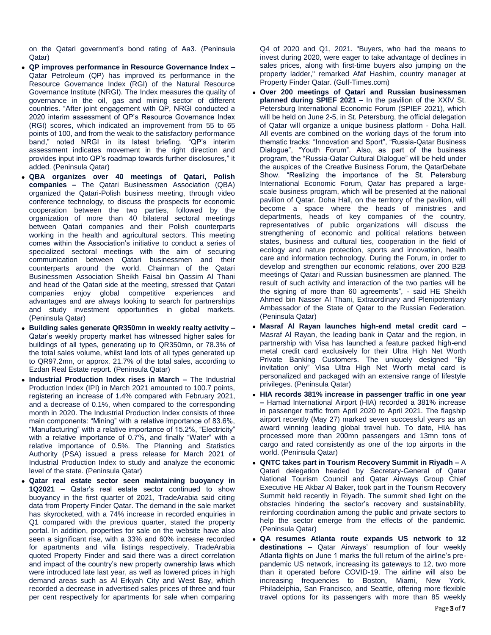on the Qatari government's bond rating of Aa3. (Peninsula Qatar)

- **QP improves performance in Resource Governance Index –** Qatar Petroleum (QP) has improved its performance in the Resource Governance Index (RGI) of the Natural Resource Governance Institute (NRGI). The Index measures the quality of governance in the oil, gas and mining sector of different countries. "After joint engagement with QP, NRGI conducted a 2020 interim assessment of QP's Resource Governance Index (RGI) scores, which indicated an improvement from 55 to 65 points of 100, and from the weak to the satisfactory performance band," noted NRGI in its latest briefing. "QP's interim assessment indicates movement in the right direction and provides input into QP's roadmap towards further disclosures," it added. (Peninsula Qatar)
- **QBA organizes over 40 meetings of Qatari, Polish companies –** The Qatari Businessmen Association (QBA) organized the Qatari-Polish business meeting, through video conference technology, to discuss the prospects for economic cooperation between the two parties, followed by the organization of more than 40 bilateral sectoral meetings between Qatari companies and their Polish counterparts working in the health and agricultural sectors. This meeting comes within the Association's initiative to conduct a series of specialized sectoral meetings with the aim of securing communication between Qatari businessmen and their counterparts around the world. Chairman of the Qatari Businessmen Association Sheikh Faisal bin Qassim Al Thani and head of the Qatari side at the meeting, stressed that Qatari companies enjoy global competitive experiences and advantages and are always looking to search for partnerships and study investment opportunities in global markets. (Peninsula Qatar)
- **Building sales generate QR350mn in weekly realty activity –** Qatar's weekly property market has witnessed higher sales for buildings of all types, generating up to QR350mn, or 78.3% of the total sales volume, whilst land lots of all types generated up to QR97.2mn, or approx. 21.7% of the total sales, according to Ezdan Real Estate report. (Peninsula Qatar)
- **Industrial Production Index rises in March –** The Industrial Production Index (IPI) in March 2021 amounted to 100.7 points, registering an increase of 1.4% compared with February 2021, and a decrease of 0.1%, when compared to the corresponding month in 2020. The Industrial Production Index consists of three main components: "Mining" with a relative importance of 83.6%, "Manufacturing" with a relative importance of 15.2%, "Electricity" with a relative importance of 0.7%, and finally "Water" with a relative importance of 0.5%. The Planning and Statistics Authority (PSA) issued a press release for March 2021 of Industrial Production Index to study and analyze the economic level of the state. (Peninsula Qatar)
- **Qatar real estate sector seen maintaining buoyancy in 1Q2021 –** Qatar's real estate sector continued to show buoyancy in the first quarter of 2021, TradeArabia said citing data from Property Finder Qatar. The demand in the sale market has skyrocketed, with a 74% increase in recorded enquiries in Q1 compared with the previous quarter, stated the property portal. In addition, properties for sale on the website have also seen a significant rise, with a 33% and 60% increase recorded for apartments and villa listings respectively. TradeArabia quoted Property Finder and said there was a direct correlation and impact of the country's new property ownership laws which were introduced late last year, as well as lowered prices in high demand areas such as Al Erkyah City and West Bay, which recorded a decrease in advertised sales prices of three and four per cent respectively for apartments for sale when comparing

Q4 of 2020 and Q1, 2021. "Buyers, who had the means to invest during 2020, were eager to take advantage of declines in sales prices, along with first-time buyers also jumping on the property ladder," remarked Afaf Hashim, country manager at Property Finder Qatar. (Gulf-Times.com)

- **Over 200 meetings of Qatari and Russian businessmen planned during SPIEF 2021 –** In the pavilion of the XXIV St. Petersburg International Economic Forum (SPIEF 2021), which will be held on June 2-5, in St. Petersburg, the official delegation of Qatar will organize a unique business platform - Doha Hall. All events are combined on the working days of the forum into thematic tracks: "Innovation and Sport", "Russia-Qatar Business Dialogue", "Youth Forum". Also, as part of the business program, the "Russia-Qatar Cultural Dialogue" will be held under the auspices of the Creative Business Forum, the QatarDebate Show. "Realizing the importance of the St. Petersburg International Economic Forum, Qatar has prepared a largescale business program, which will be presented at the national pavilion of Qatar. Doha Hall, on the territory of the pavilion, will become a space where the heads of ministries and departments, heads of key companies of the country, representatives of public organizations will discuss the strengthening of economic and political relations between states, business and cultural ties, cooperation in the field of ecology and nature protection, sports and innovation, health care and information technology. During the Forum, in order to develop and strengthen our economic relations, over 200 B2B meetings of Qatari and Russian businessmen are planned. The result of such activity and interaction of the two parties will be the signing of more than 60 agreements", - said HE Sheikh Ahmed bin Nasser Al Thani, Extraordinary and Plenipotentiary Ambassador of the State of Qatar to the Russian Federation. (Peninsula Qatar)
- **Masraf Al Rayan launches high-end metal credit card –** Masraf Al Rayan, the leading bank in Qatar and the region, in partnership with Visa has launched a feature packed high-end metal credit card exclusively for their Ultra High Net Worth Private Banking Customers. The uniquely designed "By invitation only" Visa Ultra High Net Worth metal card is personalized and packaged with an extensive range of lifestyle privileges. (Peninsula Qatar)
- **HIA records 381% increase in passenger traffic in one year –** Hamad International Airport (HIA) recorded a 381% increase in passenger traffic from April 2020 to April 2021. The flagship airport recently (May 27) marked seven successful years as an award winning leading global travel hub. To date, HIA has processed more than 200mn passengers and 13mn tons of cargo and rated consistently as one of the top airports in the world. (Peninsula Qatar)
- **QNTC takes part in Tourism Recovery Summit in Riyadh –** A Qatari delegation headed by Secretary-General of Qatar National Tourism Council and Qatar Airways Group Chief Executive HE Akbar Al Baker, took part in the Tourism Recovery Summit held recently in Riyadh. The summit shed light on the obstacles hindering the sector's recovery and sustainability, reinforcing coordination among the public and private sectors to help the sector emerge from the effects of the pandemic. (Peninsula Qatar)
- **QA resumes Atlanta route expands US network to 12 destinations –** Qatar Airways' resumption of four weekly Atlanta flights on June 1 marks the full return of the airline's prepandemic US network, increasing its gateways to 12, two more than it operated before COVID-19. The airline will also be increasing frequencies to Boston, Miami, New York, Philadelphia, San Francisco, and Seattle, offering more flexible travel options for its passengers with more than 85 weekly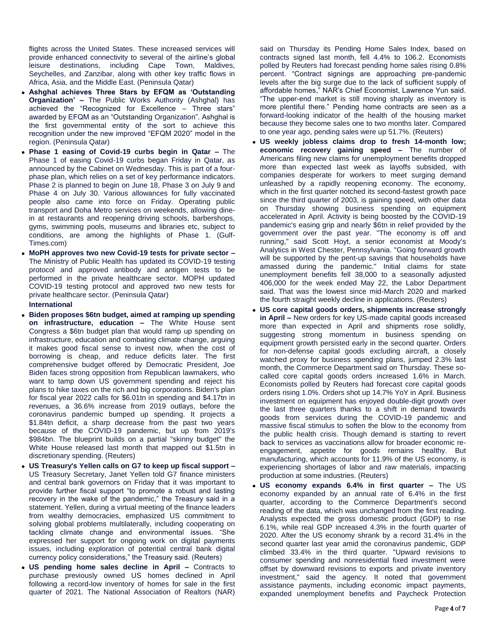flights across the United States. These increased services will provide enhanced connectivity to several of the airline's global leisure destinations, including Cape Town, Maldives, Seychelles, and Zanzibar, along with other key traffic flows in Africa, Asia, and the Middle East. (Peninsula Qatar)

- **Ashghal achieves Three Stars by EFQM as 'Outstanding Organization' –** The Public Works Authority (Ashghal) has achieved the "Recognized for Excellence – Three stars" awarded by EFQM as an "Outstanding Organization". Ashghal is the first governmental entity of the sort to achieve this recognition under the new improved "EFQM 2020" model in the region. (Peninsula Qatar)
- **Phase 1 easing of Covid-19 curbs begin in Qatar –** The Phase 1 of easing Covid-19 curbs began Friday in Qatar, as announced by the Cabinet on Wednesday. This is part of a fourphase plan, which relies on a set of key performance indicators. Phase 2 is planned to begin on June 18, Phase 3 on July 9 and Phase 4 on July 30. Various allowances for fully vaccinated people also came into force on Friday. Operating public transport and Doha Metro services on weekends, allowing dinein at restaurants and reopening driving schools, barbershops, gyms, swimming pools, museums and libraries etc, subject to conditions, are among the highlights of Phase 1. (Gulf-Times.com)
- **MoPH approves two new Covid-19 tests for private sector –** The Ministry of Public Health has updated its COVID-19 testing protocol and approved antibody and antigen tests to be performed in the private healthcare sector. MOPH updated COVID-19 testing protocol and approved two new tests for private healthcare sector. (Peninsula Qatar)

### **International**

- **Biden proposes \$6tn budget, aimed at ramping up spending on infrastructure, education –** The White House sent Congress a \$6tn budget plan that would ramp up spending on infrastructure, education and combating climate change, arguing it makes good fiscal sense to invest now, when the cost of borrowing is cheap, and reduce deficits later. The first comprehensive budget offered by Democratic President, Joe Biden faces strong opposition from Republican lawmakers, who want to tamp down US government spending and reject his plans to hike taxes on the rich and big corporations. Biden's plan for fiscal year 2022 calls for \$6.01tn in spending and \$4.17tn in revenues, a 36.6% increase from 2019 outlays, before the coronavirus pandemic bumped up spending. It projects a \$1.84tn deficit, a sharp decrease from the past two years because of the COVID-19 pandemic, but up from 2019's \$984bn. The blueprint builds on a partial "skinny budget" the White House released last month that mapped out \$1.5tn in discretionary spending. (Reuters)
- **US Treasury's Yellen calls on G7 to keep up fiscal support –** US Treasury Secretary, Janet Yellen told G7 finance ministers and central bank governors on Friday that it was important to provide further fiscal support "to promote a robust and lasting recovery in the wake of the pandemic," the Treasury said in a statement. Yellen, during a virtual meeting of the finance leaders from wealthy democracies, emphasized US commitment to solving global problems multilaterally, including cooperating on tackling climate change and environmental issues. "She expressed her support for ongoing work on digital payments issues, including exploration of potential central bank digital currency policy considerations," the Treasury said. (Reuters)
- **US pending home sales decline in April –** Contracts to purchase previously owned US homes declined in April following a record-low inventory of homes for sale in the first quarter of 2021. The National Association of Realtors (NAR)

said on Thursday its Pending Home Sales Index, based on contracts signed last month, fell 4.4% to 106.2. Economists polled by Reuters had forecast pending home sales rising 0.8% percent. "Contract signings are approaching pre-pandemic levels after the big surge due to the lack of sufficient supply of affordable homes," NAR's Chief Economist, Lawrence Yun said. "The upper-end market is still moving sharply as inventory is more plentiful there." Pending home contracts are seen as a forward-looking indicator of the health of the housing market because they become sales one to two months later. Compared to one year ago, pending sales were up 51.7%. (Reuters)

- **US weekly jobless claims drop to fresh 14-month low; economic recovery gaining speed –** The number of Americans filing new claims for unemployment benefits dropped more than expected last week as layoffs subsided, with companies desperate for workers to meet surging demand unleashed by a rapidly reopening economy. The economy, which in the first quarter notched its second-fastest growth pace since the third quarter of 2003, is gaining speed, with other data on Thursday showing business spending on equipment accelerated in April. Activity is being boosted by the COVID-19 pandemic's easing grip and nearly \$6tn in relief provided by the government over the past year. "The economy is off and running," said Scott Hoyt, a senior economist at Moody's Analytics in West Chester, Pennsylvania. "Going forward growth will be supported by the pent-up savings that households have amassed during the pandemic." Initial claims for state unemployment benefits fell 38,000 to a seasonally adjusted 406,000 for the week ended May 22, the Labor Department said. That was the lowest since mid-March 2020 and marked the fourth straight weekly decline in applications. (Reuters)
- **US core capital goods orders, shipments increase strongly in April –** New orders for key US-made capital goods increased more than expected in April and shipments rose solidly, suggesting strong momentum in business spending on equipment growth persisted early in the second quarter. Orders for non-defense capital goods excluding aircraft, a closely watched proxy for business spending plans, jumped 2.3% last month, the Commerce Department said on Thursday. These socalled core capital goods orders increased 1.6% in March. Economists polled by Reuters had forecast core capital goods orders rising 1.0%. Orders shot up 14.7% YoY in April. Business investment on equipment has enjoyed double-digit growth over the last three quarters thanks to a shift in demand towards goods from services during the COVID-19 pandemic and massive fiscal stimulus to soften the blow to the economy from the public health crisis. Though demand is starting to revert back to services as vaccinations allow for broader economic reengagement, appetite for goods remains healthy. But manufacturing, which accounts for 11.9% of the US economy, is experiencing shortages of labor and raw materials, impacting production at some industries. (Reuters)
- **US economy expands 6.4% in first quarter –** The US economy expanded by an annual rate of 6.4% in the first quarter, according to the Commerce Department's second reading of the data, which was unchanged from the first reading. Analysts expected the gross domestic product (GDP) to rise 6.1%, while real GDP increased 4.3% in the fourth quarter of 2020. After the US economy shrank by a record 31.4% in the second quarter last year amid the coronavirus pandemic, GDP climbed 33.4% in the third quarter. "Upward revisions to consumer spending and nonresidential fixed investment were offset by downward revisions to exports and private inventory investment," said the agency. It noted that government assistance payments, including economic impact payments, expanded unemployment benefits and Paycheck Protection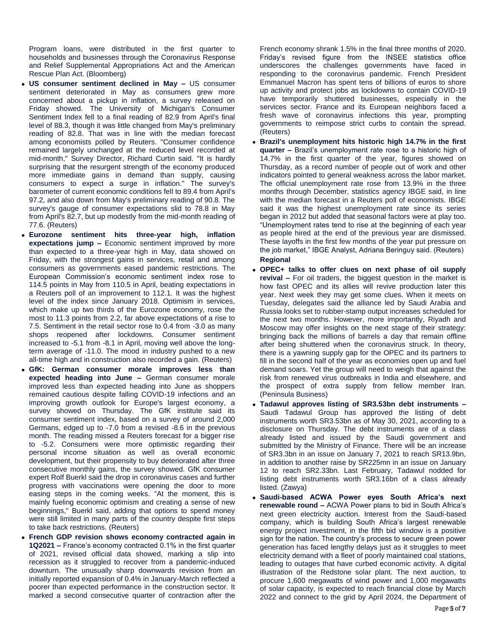Program loans, were distributed in the first quarter to households and businesses through the Coronavirus Response and Relief Supplemental Appropriations Act and the American Rescue Plan Act. (Bloomberg)

- **US consumer sentiment declined in May –** US consumer sentiment deteriorated in May as consumers grew more concerned about a pickup in inflation, a survey released on Friday showed. The University of Michigan's Consumer Sentiment Index fell to a final reading of 82.9 from April's final level of 88.3, though it was little changed from May's preliminary reading of 82.8. That was in line with the median forecast among economists polled by Reuters. "Consumer confidence remained largely unchanged at the reduced level recorded at mid-month," Survey Director, Richard Curtin said. "It is hardly surprising that the resurgent strength of the economy produced more immediate gains in demand than supply, causing consumers to expect a surge in inflation." The survey's barometer of current economic conditions fell to 89.4 from April's 97.2, and also down from May's preliminary reading of 90.8. The survey's gauge of consumer expectations slid to 78.8 in May from April's 82.7, but up modestly from the mid-month reading of 77.6. (Reuters)
- **Eurozone sentiment hits three-year high, inflation expectations jump –** Economic sentiment improved by more than expected to a three-year high in May, data showed on Friday, with the strongest gains in services, retail and among consumers as governments eased pandemic restrictions. The European Commission's economic sentiment index rose to 114.5 points in May from 110.5 in April, beating expectations in a Reuters poll of an improvement to 112.1. It was the highest level of the index since January 2018. Optimism in services, which make up two thirds of the Eurozone economy, rose the most to 11.3 points from 2.2, far above expectations of a rise to 7.5. Sentiment in the retail sector rose to 0.4 from -3.0 as many shops reopened after lockdowns. Consumer sentiment increased to -5.1 from -8.1 in April, moving well above the longterm average of -11.0. The mood in industry pushed to a new all-time high and in construction also recorded a gain. (Reuters)
- **GfK: German consumer morale improves less than expected heading into June –** German consumer morale improved less than expected heading into June as shoppers remained cautious despite falling COVID-19 infections and an improving growth outlook for Europe's largest economy, a survey showed on Thursday. The GfK institute said its consumer sentiment index, based on a survey of around 2,000 Germans, edged up to -7.0 from a revised -8.6 in the previous month. The reading missed a Reuters forecast for a bigger rise to -5.2. Consumers were more optimistic regarding their personal income situation as well as overall economic development, but their propensity to buy deteriorated after three consecutive monthly gains, the survey showed. GfK consumer expert Rolf Buerkl said the drop in coronavirus cases and further progress with vaccinations were opening the door to more easing steps in the coming weeks. "At the moment, this is mainly fueling economic optimism and creating a sense of new beginnings," Buerkl said, adding that options to spend money were still limited in many parts of the country despite first steps to take back restrictions. (Reuters)
- **French GDP revision shows economy contracted again in 1Q2021 –** France's economy contracted 0.1% in the first quarter of 2021, revised official data showed, marking a slip into recession as it struggled to recover from a pandemic-induced downturn. The unusually sharp downwards revision from an initially reported expansion of 0.4% in January-March reflected a poorer than expected performance in the construction sector. It marked a second consecutive quarter of contraction after the

French economy shrank 1.5% in the final three months of 2020. Friday's revised figure from the INSEE statistics office underscores the challenges governments have faced in responding to the coronavirus pandemic. French President Emmanuel Macron has spent tens of billions of euros to shore up activity and protect jobs as lockdowns to contain COVID-19 have temporarily shuttered businesses, especially in the services sector. France and its European neighbors faced a fresh wave of coronavirus infections this year, prompting governments to reimpose strict curbs to contain the spread. (Reuters)

- **Brazil's unemployment hits historic high 14.7% in the first quarter –** Brazil's unemployment rate rose to a historic high of 14.7% in the first quarter of the year, figures showed on Thursday, as a record number of people out of work and other indicators pointed to general weakness across the labor market. The official unemployment rate rose from 13.9% in the three months through December, statistics agency IBGE said, in line with the median forecast in a Reuters poll of economists. IBGE said it was the highest unemployment rate since its series began in 2012 but added that seasonal factors were at play too. "Unemployment rates tend to rise at the beginning of each year as people hired at the end of the previous year are dismissed. These layoffs in the first few months of the year put pressure on the job market," IBGE Analyst, Adriana Beringuy said. (Reuters) **Regional**
- **OPEC+ talks to offer clues on next phase of oil supply revival –** For oil traders, the biggest question in the market is how fast OPEC and its allies will revive production later this year. Next week they may get some clues. When it meets on Tuesday, delegates said the alliance led by Saudi Arabia and Russia looks set to rubber-stamp output increases scheduled for the next two months. However, more importantly, Riyadh and Moscow may offer insights on the next stage of their strategy: bringing back the millions of barrels a day that remain offline after being shuttered when the coronavirus struck. In theory, there is a yawning supply gap for the OPEC and its partners to fill in the second half of the year as economies open up and fuel demand soars. Yet the group will need to weigh that against the risk from renewed virus outbreaks in India and elsewhere, and the prospect of extra supply from fellow member Iran. (Peninsula Business)
- **Tadawul approves listing of SR3.53bn debt instruments –** Saudi Tadawul Group has approved the listing of debt instruments worth SR3.53bn as of May 30, 2021, according to a disclosure on Thursday. The debt instruments are of a class already listed and issued by the Saudi government and submitted by the Ministry of Finance. There will be an increase of SR3.3bn in an issue on January 7, 2021 to reach SR13.9bn, in addition to another raise by SR225mn in an issue on January 12 to reach SR2.33bn. Last February, Tadawul nodded for listing debt instruments worth SR3.16bn of a class already listed. (Zawya)
- **Saudi-based ACWA Power eyes South Africa's next renewable round –** ACWA Power plans to bid in South Africa's next green electricity auction. Interest from the Saudi-based company, which is building South Africa's largest renewable energy project investment, in the fifth bid window is a positive sign for the nation. The country's process to secure green power generation has faced lengthy delays just as it struggles to meet electricity demand with a fleet of poorly maintained coal stations, leading to outages that have curbed economic activity. A digital illustration of the Redstone solar plant. The next auction, to procure 1,600 megawatts of wind power and 1,000 megawatts of solar capacity, is expected to reach financial close by March 2022 and connect to the grid by April 2024, the Department of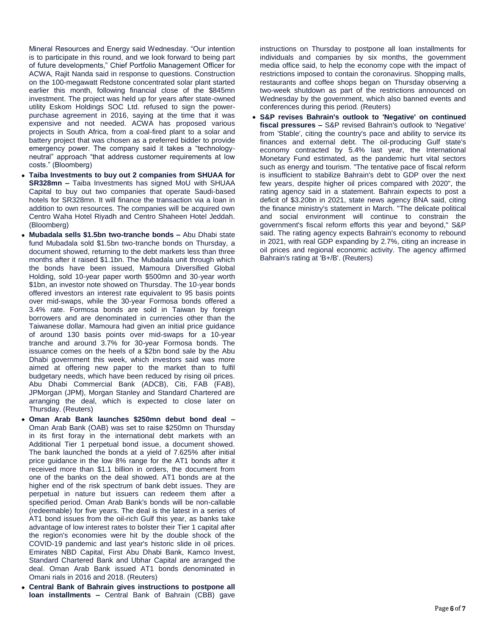Mineral Resources and Energy said Wednesday. "Our intention is to participate in this round, and we look forward to being part of future developments," Chief Portfolio Management Officer for ACWA, Rajit Nanda said in response to questions. Construction on the 100-megawatt Redstone concentrated solar plant started earlier this month, following financial close of the \$845mn investment. The project was held up for years after state-owned utility Eskom Holdings SOC Ltd. refused to sign the powerpurchase agreement in 2016, saying at the time that it was expensive and not needed. ACWA has proposed various projects in South Africa, from a coal-fired plant to a solar and battery project that was chosen as a preferred bidder to provide emergency power. The company said it takes a "technologyneutral" approach "that address customer requirements at low costs." (Bloomberg)

- **Taiba Investments to buy out 2 companies from SHUAA for SR328mn –** Taiba Investments has signed MoU with SHUAA Capital to buy out two companies that operate Saudi-based hotels for SR328mn. It will finance the transaction via a loan in addition to own resources. The companies will be acquired own Centro Waha Hotel Riyadh and Centro Shaheen Hotel Jeddah. (Bloomberg)
- **Mubadala sells \$1.5bn two-tranche bonds –** Abu Dhabi state fund Mubadala sold \$1.5bn two-tranche bonds on Thursday, a document showed, returning to the debt markets less than three months after it raised \$1.1bn. The Mubadala unit through which the bonds have been issued, Mamoura Diversified Global Holding, sold 10-year paper worth \$500mn and 30-year worth \$1bn, an investor note showed on Thursday. The 10-year bonds offered investors an interest rate equivalent to 95 basis points over mid-swaps, while the 30-year Formosa bonds offered a 3.4% rate. Formosa bonds are sold in Taiwan by foreign borrowers and are denominated in currencies other than the Taiwanese dollar. Mamoura had given an initial price guidance of around 130 basis points over mid-swaps for a 10-year tranche and around 3.7% for 30-year Formosa bonds. The issuance comes on the heels of a \$2bn bond sale by the Abu Dhabi government this week, which investors said was more aimed at offering new paper to the market than to fulfil budgetary needs, which have been reduced by rising oil prices. Abu Dhabi Commercial Bank (ADCB), Citi, FAB (FAB), JPMorgan (JPM), Morgan Stanley and Standard Chartered are arranging the deal, which is expected to close later on Thursday. (Reuters)
- **Oman Arab Bank launches \$250mn debut bond deal –** Oman Arab Bank (OAB) was set to raise \$250mn on Thursday in its first foray in the international debt markets with an Additional Tier 1 perpetual bond issue, a document showed. The bank launched the bonds at a yield of 7.625% after initial price guidance in the low 8% range for the AT1 bonds after it received more than \$1.1 billion in orders, the document from one of the banks on the deal showed. AT1 bonds are at the higher end of the risk spectrum of bank debt issues. They are perpetual in nature but issuers can redeem them after a specified period. Oman Arab Bank's bonds will be non-callable (redeemable) for five years. The deal is the latest in a series of AT1 bond issues from the oil-rich Gulf this year, as banks take advantage of low interest rates to bolster their Tier 1 capital after the region's economies were hit by the double shock of the COVID-19 pandemic and last year's historic slide in oil prices. Emirates NBD Capital, First Abu Dhabi Bank, Kamco Invest, Standard Chartered Bank and Ubhar Capital are arranged the deal. Oman Arab Bank issued AT1 bonds denominated in Omani rials in 2016 and 2018. (Reuters)
- **Central Bank of Bahrain gives instructions to postpone all loan installments –** Central Bank of Bahrain (CBB) gave

instructions on Thursday to postpone all loan installments for individuals and companies by six months, the government media office said, to help the economy cope with the impact of restrictions imposed to contain the coronavirus. Shopping malls, restaurants and coffee shops began on Thursday observing a two-week shutdown as part of the restrictions announced on Wednesday by the government, which also banned events and conferences during this period. (Reuters)

 **S&P revises Bahrain's outlook to 'Negative' on continued fiscal pressures –** S&P revised Bahrain's outlook to 'Negative' from 'Stable', citing the country's pace and ability to service its finances and external debt. The oil-producing Gulf state's economy contracted by 5.4% last year, the International Monetary Fund estimated, as the pandemic hurt vital sectors such as energy and tourism. "The tentative pace of fiscal reform is insufficient to stabilize Bahrain's debt to GDP over the next few years, despite higher oil prices compared with 2020", the rating agency said in a statement. Bahrain expects to post a deficit of \$3.20bn in 2021, state news agency BNA said, citing the finance ministry's statement in March. "The delicate political and social environment will continue to constrain the government's fiscal reform efforts this year and beyond," S&P said. The rating agency expects Bahrain's economy to rebound in 2021, with real GDP expanding by 2.7%, citing an increase in oil prices and regional economic activity. The agency affirmed Bahrain's rating at 'B+/B'. (Reuters)